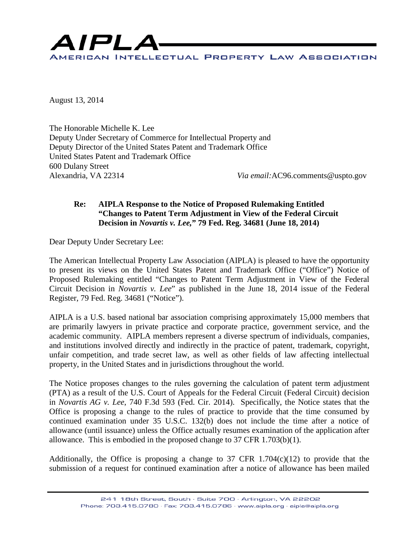

August 13, 2014

The Honorable Michelle K. Lee Deputy Under Secretary of Commerce for Intellectual Property and Deputy Director of the United States Patent and Trademark Office United States Patent and Trademark Office 600 Dulany Street

Via email:AC96.comments@uspto.gov

# **Re: AIPLA Response to the Notice of Proposed Rulemaking Entitled "Changes to Patent Term Adjustment in View of the Federal Circuit Decision in** *Novartis v. Lee,***" 79 Fed. Reg. 34681 (June 18, 2014)**

Dear Deputy Under Secretary Lee:

The American Intellectual Property Law Association (AIPLA) is pleased to have the opportunity to present its views on the United States Patent and Trademark Office ("Office") Notice of Proposed Rulemaking entitled "Changes to Patent Term Adjustment in View of the Federal Circuit Decision in *Novartis v. Lee*" as published in the June 18, 2014 issue of the Federal Register, 79 Fed. Reg. 34681 ("Notice").

AIPLA is a U.S. based national bar association comprising approximately 15,000 members that are primarily lawyers in private practice and corporate practice, government service, and the academic community. AIPLA members represent a diverse spectrum of individuals, companies, and institutions involved directly and indirectly in the practice of patent, trademark, copyright, unfair competition, and trade secret law, as well as other fields of law affecting intellectual property, in the United States and in jurisdictions throughout the world.

The Notice proposes changes to the rules governing the calculation of patent term adjustment (PTA) as a result of the U.S. Court of Appeals for the Federal Circuit (Federal Circuit) decision in *Novartis AG v. Lee*, 740 F.3d 593 (Fed. Cir. 2014). Specifically, the Notice states that the Office is proposing a change to the rules of practice to provide that the time consumed by continued examination under 35 U.S.C. 132(b) does not include the time after a notice of allowance (until issuance) unless the Office actually resumes examination of the application after allowance. This is embodied in the proposed change to 37 CFR 1.703(b)(1).

Additionally, the Office is proposing a change to 37 CFR 1.704 $(c)(12)$  to provide that the submission of a request for continued examination after a notice of allowance has been mailed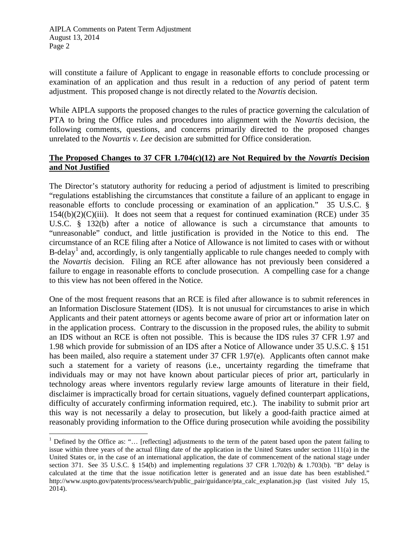will constitute a failure of Applicant to engage in reasonable efforts to conclude processing or examination of an application and thus result in a reduction of any period of patent term adjustment. This proposed change is not directly related to the *Novartis* decision.

While AIPLA supports the proposed changes to the rules of practice governing the calculation of PTA to bring the Office rules and procedures into alignment with the *Novartis* decision, the following comments, questions, and concerns primarily directed to the proposed changes unrelated to the *Novartis v. Lee* decision are submitted for Office consideration.

### **The Proposed Changes to 37 CFR 1.704(c)(12) are Not Required by the** *Novartis* **Decision and Not Justified**

The Director's statutory authority for reducing a period of adjustment is limited to prescribing "regulations establishing the circumstances that constitute a failure of an applicant to engage in reasonable efforts to conclude processing or examination of an application." 35 U.S.C. §  $154((b)(2)(C)(iii)$ . It does not seem that a request for continued examination (RCE) under 35 U.S.C. § 132(b) after a notice of allowance is such a circumstance that amounts to "unreasonable" conduct, and little justification is provided in the Notice to this end. The circumstance of an RCE filing after a Notice of Allowance is not limited to cases with or without B-delay<sup>[1](#page-1-0)</sup> and, accordingly, is only tangentially applicable to rule changes needed to comply with the *Novartis* decision. Filing an RCE after allowance has not previously been considered a failure to engage in reasonable efforts to conclude prosecution. A compelling case for a change to this view has not been offered in the Notice.

One of the most frequent reasons that an RCE is filed after allowance is to submit references in an Information Disclosure Statement (IDS). It is not unusual for circumstances to arise in which Applicants and their patent attorneys or agents become aware of prior art or information later on in the application process. Contrary to the discussion in the proposed rules, the ability to submit an IDS without an RCE is often not possible. This is because the IDS rules 37 CFR 1.97 and 1.98 which provide for submission of an IDS after a Notice of Allowance under 35 U.S.C. § 151 has been mailed, also require a statement under 37 CFR 1.97(e). Applicants often cannot make such a statement for a variety of reasons (i.e., uncertainty regarding the timeframe that individuals may or may not have known about particular pieces of prior art, particularly in technology areas where inventors regularly review large amounts of literature in their field, disclaimer is impractically broad for certain situations, vaguely defined counterpart applications, difficulty of accurately confirming information required, etc.). The inability to submit prior art this way is not necessarily a delay to prosecution, but likely a good-faith practice aimed at reasonably providing information to the Office during prosecution while avoiding the possibility

<span id="page-1-0"></span><sup>&</sup>lt;sup>1</sup> Defined by the Office as: "... [reflecting] adjustments to the term of the patent based upon the patent failing to issue within three years of the actual filing date of the application in the United States under section 111(a) in the United States or, in the case of an international application, the date of commencement of the national stage under section 371. See 35 U.S.C. § 154(b) and implementing regulations 37 CFR 1.702(b) & 1.703(b). "B" delay is calculated at the time that the issue notification letter is generated and an issue date has been established." http://www.uspto.gov/patents/process/search/public\_pair/guidance/pta\_calc\_explanation.jsp (last visited July 15, 2014).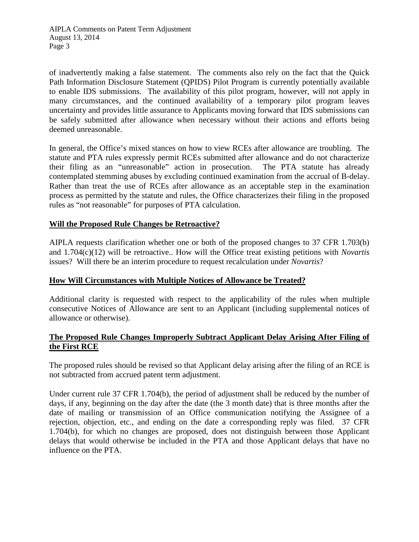of inadvertently making a false statement. The comments also rely on the fact that the Quick Path Information Disclosure Statement (QPIDS) Pilot Program is currently potentially available to enable IDS submissions. The availability of this pilot program, however, will not apply in many circumstances, and the continued availability of a temporary pilot program leaves uncertainty and provides little assurance to Applicants moving forward that IDS submissions can be safely submitted after allowance when necessary without their actions and efforts being deemed unreasonable.

In general, the Office's mixed stances on how to view RCEs after allowance are troubling. The statute and PTA rules expressly permit RCEs submitted after allowance and do not characterize their filing as an "unreasonable" action in prosecution. The PTA statute has already contemplated stemming abuses by excluding continued examination from the accrual of B-delay. Rather than treat the use of RCEs after allowance as an acceptable step in the examination process as permitted by the statute and rules, the Office characterizes their filing in the proposed rules as "not reasonable" for purposes of PTA calculation.

# **Will the Proposed Rule Changes be Retroactive?**

AIPLA requests clarification whether one or both of the proposed changes to 37 CFR 1.703(b) and 1.704(c)(12) will be retroactive.. How will the Office treat existing petitions with *Novartis* issues? Will there be an interim procedure to request recalculation under *Novartis*?

#### **How Will Circumstances with Multiple Notices of Allowance be Treated?**

Additional clarity is requested with respect to the applicability of the rules when multiple consecutive Notices of Allowance are sent to an Applicant (including supplemental notices of allowance or otherwise).

# **The Proposed Rule Changes Improperly Subtract Applicant Delay Arising After Filing of the First RCE**

The proposed rules should be revised so that Applicant delay arising after the filing of an RCE is not subtracted from accrued patent term adjustment.

Under current rule 37 CFR 1.704(b), the period of adjustment shall be reduced by the number of days, if any, beginning on the day after the date (the 3 month date) that is three months after the date of mailing or transmission of an Office communication notifying the Assignee of a rejection, objection, etc., and ending on the date a corresponding reply was filed. 37 CFR 1.704(b), for which no changes are proposed, does not distinguish between those Applicant delays that would otherwise be included in the PTA and those Applicant delays that have no influence on the PTA.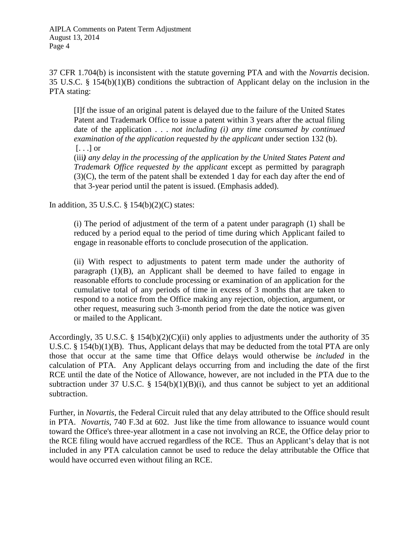37 CFR 1.704(b) is inconsistent with the statute governing PTA and with the *Novartis* decision. 35 U.S.C. § 154(b)(1)(B) conditions the subtraction of Applicant delay on the inclusion in the PTA stating:

[I]f the issue of an original patent is delayed due to the failure of the United States Patent and Trademark Office to issue a patent within 3 years after the actual filing date of the application . . . *not including (i) any time consumed by continued examination of the application requested by the applicant* under section 132 (b). [. . .] or

(iii*) any delay in the processing of the application by the United States Patent and Trademark Office requested by the applicant* except as permitted by paragraph (3)(C), the term of the patent shall be extended 1 day for each day after the end of that 3-year period until the patent is issued. (Emphasis added).

In addition, 35 U.S.C. § 154(b)(2)(C) states:

(i) The period of adjustment of the term of a patent under paragraph (1) shall be reduced by a period equal to the period of time during which Applicant failed to engage in reasonable efforts to conclude prosecution of the application.

(ii) With respect to adjustments to patent term made under the authority of paragraph (1)(B), an Applicant shall be deemed to have failed to engage in reasonable efforts to conclude processing or examination of an application for the cumulative total of any periods of time in excess of 3 months that are taken to respond to a notice from the Office making any rejection, objection, argument, or other request, measuring such 3-month period from the date the notice was given or mailed to the Applicant.

Accordingly, 35 U.S.C. § 154(b)(2)(C)(ii) only applies to adjustments under the authority of 35 U.S.C. § 154(b)(1)(B). Thus, Applicant delays that may be deducted from the total PTA are only those that occur at the same time that Office delays would otherwise be *included* in the calculation of PTA. Any Applicant delays occurring from and including the date of the first RCE until the date of the Notice of Allowance, however, are not included in the PTA due to the subtraction under 37 U.S.C.  $\S$  154(b)(1)(B)(i), and thus cannot be subject to yet an additional subtraction.

Further, in *Novartis*, the Federal Circuit ruled that any delay attributed to the Office should result in PTA. *Novartis*, 740 F.3d at 602. Just like the time from allowance to issuance would count toward the Office's three-year allotment in a case not involving an RCE, the Office delay prior to the RCE filing would have accrued regardless of the RCE. Thus an Applicant's delay that is not included in any PTA calculation cannot be used to reduce the delay attributable the Office that would have occurred even without filing an RCE.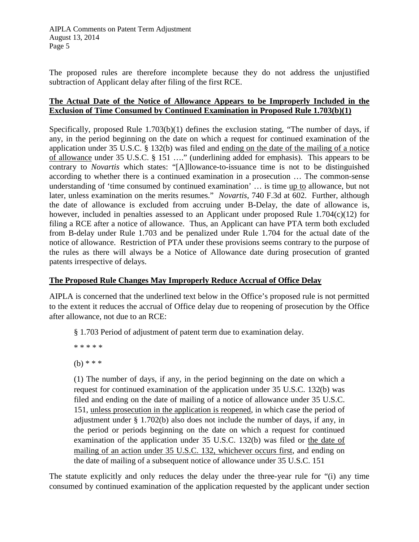The proposed rules are therefore incomplete because they do not address the unjustified subtraction of Applicant delay after filing of the first RCE.

### **The Actual Date of the Notice of Allowance Appears to be Improperly Included in the Exclusion of Time Consumed by Continued Examination in Proposed Rule 1.703(b)(1)**

Specifically, proposed Rule 1.703(b)(1) defines the exclusion stating, "The number of days, if any, in the period beginning on the date on which a request for continued examination of the application under 35 U.S.C. § 132(b) was filed and ending on the date of the mailing of a notice of allowance under 35 U.S.C. § 151 …." (underlining added for emphasis). This appears to be contrary to *Novartis* which states: "[A]llowance-to-issuance time is not to be distinguished according to whether there is a continued examination in a prosecution … The common-sense understanding of 'time consumed by continued examination' … is time up to allowance, but not later, unless examination on the merits resumes." *Novartis*, 740 F.3d at 602. Further, although the date of allowance is excluded from accruing under B-Delay, the date of allowance is, however, included in penalties assessed to an Applicant under proposed Rule 1.704(c)(12) for filing a RCE after a notice of allowance. Thus, an Applicant can have PTA term both excluded from B-delay under Rule 1.703 and be penalized under Rule 1.704 for the actual date of the notice of allowance. Restriction of PTA under these provisions seems contrary to the purpose of the rules as there will always be a Notice of Allowance date during prosecution of granted patents irrespective of delays.

# **The Proposed Rule Changes May Improperly Reduce Accrual of Office Delay**

AIPLA is concerned that the underlined text below in the Office's proposed rule is not permitted to the extent it reduces the accrual of Office delay due to reopening of prosecution by the Office after allowance, not due to an RCE:

§ 1.703 Period of adjustment of patent term due to examination delay.

\* \* \* \* \*

(b) \* \* \*

(1) The number of days, if any, in the period beginning on the date on which a request for continued examination of the application under 35 U.S.C. 132(b) was filed and ending on the date of mailing of a notice of allowance under 35 U.S.C. 151, unless prosecution in the application is reopened, in which case the period of adjustment under § 1.702(b) also does not include the number of days, if any, in the period or periods beginning on the date on which a request for continued examination of the application under 35 U.S.C. 132(b) was filed or the date of mailing of an action under 35 U.S.C. 132, whichever occurs first, and ending on the date of mailing of a subsequent notice of allowance under 35 U.S.C. 151

The statute explicitly and only reduces the delay under the three-year rule for "(i) any time consumed by continued examination of the application requested by the applicant under section